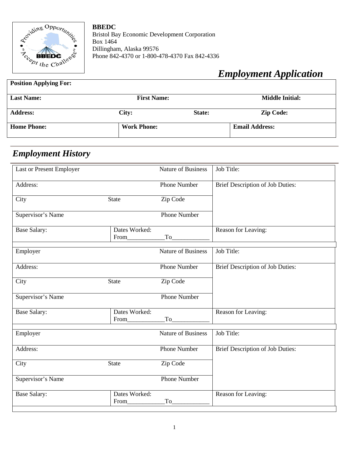

**BBEDC** Bristol Bay Economic Development Corporation Box 1464 Dillingham, Alaska 99576 Phone 842-4370 or 1-800-478-4370 Fax 842-4336

# *Employment Application*

#### **Position Applying For:**

| <b>Last Name:</b>  | <b>First Name:</b> |        | <b>Middle Initial:</b> |  |
|--------------------|--------------------|--------|------------------------|--|
| <b>Address:</b>    | City:              | State: | <b>Zip Code:</b>       |  |
| <b>Home Phone:</b> | <b>Work Phone:</b> |        | <b>Email Address:</b>  |  |

# *Employment History*

| Last or Present Employer |                       | <b>Nature of Business</b> | Job Title:                       |
|--------------------------|-----------------------|---------------------------|----------------------------------|
| Address:                 |                       | <b>Phone Number</b>       | Brief Description of Job Duties: |
| City                     | <b>State</b>          | Zip Code                  |                                  |
| Supervisor's Name        |                       | <b>Phone Number</b>       |                                  |
| <b>Base Salary:</b>      | Dates Worked:<br>From | To                        | Reason for Leaving:              |
| Employer                 |                       | <b>Nature of Business</b> | Job Title:                       |
| Address:                 |                       | <b>Phone Number</b>       | Brief Description of Job Duties: |
| City                     | <b>State</b>          | Zip Code                  |                                  |
| Supervisor's Name        |                       | <b>Phone Number</b>       |                                  |
| <b>Base Salary:</b>      | Dates Worked:<br>From | To                        | Reason for Leaving:              |
| Employer                 |                       | <b>Nature of Business</b> | Job Title:                       |
| Address:                 |                       | <b>Phone Number</b>       | Brief Description of Job Duties: |
| City                     | <b>State</b>          | Zip Code                  |                                  |
| Supervisor's Name        |                       | <b>Phone Number</b>       |                                  |
| <b>Base Salary:</b>      | Dates Worked:<br>From | To                        | Reason for Leaving:              |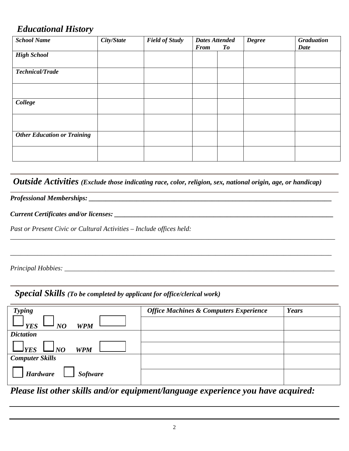## *Educational History*

| <b>School Name</b>                 | City/State | <b>Field of Study</b> | <b>Dates Attended</b> |    | <b>Degree</b> | <b>Graduation</b> |
|------------------------------------|------------|-----------------------|-----------------------|----|---------------|-------------------|
|                                    |            |                       | <b>From</b>           | To |               | <b>Date</b>       |
| <b>High School</b>                 |            |                       |                       |    |               |                   |
| Technical/Trade                    |            |                       |                       |    |               |                   |
|                                    |            |                       |                       |    |               |                   |
| College                            |            |                       |                       |    |               |                   |
|                                    |            |                       |                       |    |               |                   |
| <b>Other Education or Training</b> |            |                       |                       |    |               |                   |
|                                    |            |                       |                       |    |               |                   |

 *Outside Activities (Exclude those indicating race, color, religion, sex, national origin, age, or handicap)*

*\_\_\_\_\_\_\_\_\_\_\_\_\_\_\_\_\_\_\_\_\_\_\_\_\_\_\_\_\_\_\_\_\_\_\_\_\_\_\_\_\_\_\_\_\_\_\_\_\_\_\_\_\_\_\_\_\_\_\_\_\_\_\_\_\_\_\_\_\_\_\_\_\_\_\_\_\_\_\_\_\_\_\_\_\_\_\_\_\_\_\_\_\_\_\_*

*\_\_\_\_\_\_\_\_\_\_\_\_\_\_\_\_\_\_\_\_\_\_\_\_\_\_\_\_\_\_\_\_\_\_\_\_\_\_\_\_\_\_\_\_\_\_\_\_\_\_\_\_\_\_\_\_\_\_\_\_\_\_\_\_\_\_\_\_\_\_\_\_\_\_\_\_\_\_\_\_\_\_\_\_\_\_\_\_\_\_\_\_\_\_*

*Professional Memberships: \_\_\_\_\_\_\_\_\_\_\_\_\_\_\_\_\_\_\_\_\_\_\_\_\_\_\_\_\_\_\_\_\_\_\_\_\_\_\_\_\_\_\_\_\_\_\_\_\_\_\_\_\_\_\_\_\_\_\_\_\_\_\_\_\_\_\_\_\_\_\_*

*Current Certificates and/or licenses: \_\_\_\_\_\_\_\_\_\_\_\_\_\_\_\_\_\_\_\_\_\_\_\_\_\_\_\_\_\_\_\_\_\_\_\_\_\_\_\_\_\_\_\_\_\_\_\_\_\_\_\_\_\_\_\_\_\_\_\_\_\_\_\_*

*Past or Present Civic or Cultural Activities – Include offices held:*

*Principal Hobbies: \_\_\_\_\_\_\_\_\_\_\_\_\_\_\_\_\_\_\_\_\_\_\_\_\_\_\_\_\_\_\_\_\_\_\_\_\_\_\_\_\_\_\_\_\_\_\_\_\_\_\_\_\_\_\_\_\_\_\_\_\_\_\_\_\_\_\_\_\_\_\_\_\_\_\_\_\_\_\_*

 *Special Skills (To be completed by applicant for office/clerical work)*

| <b>Typing</b>                                                  | <b>Office Machines &amp; Computers Experience</b> | Years |
|----------------------------------------------------------------|---------------------------------------------------|-------|
| $\rightarrow$ YES<br><b>WPM</b><br>NQ                          |                                                   |       |
| <b>Dictation</b>                                               |                                                   |       |
| $\Box_{\text{YES}} \underline{\Box_{\text{NO}}}$<br><b>WPM</b> |                                                   |       |
| <b>Computer Skills</b>                                         |                                                   |       |
| <b>Software</b><br><b>Hardware</b>                             |                                                   |       |
|                                                                |                                                   |       |

*Please list other skills and/or equipment/language experience you have acquired:*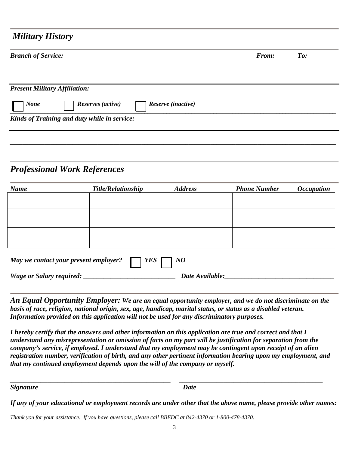### *Military History*

| <b>Branch of Service:</b>                              | From: | $T_{0}$ : |
|--------------------------------------------------------|-------|-----------|
| <b>Present Military Affiliation:</b>                   |       |           |
| <b>None</b><br>Reserves (active)<br>Reserve (inactive) |       |           |
| Kinds of Training and duty while in service:           |       |           |
|                                                        |       |           |

## *Professional Work References*

| <b>Name</b>                                                 | <b>Title/Relationship</b> | <b>Address</b>  | <b>Phone Number</b> | <i><b>Occupation</b></i> |  |  |
|-------------------------------------------------------------|---------------------------|-----------------|---------------------|--------------------------|--|--|
|                                                             |                           |                 |                     |                          |  |  |
|                                                             |                           |                 |                     |                          |  |  |
|                                                             |                           |                 |                     |                          |  |  |
|                                                             |                           |                 |                     |                          |  |  |
|                                                             |                           |                 |                     |                          |  |  |
| YES<br>May we contact your present employer?<br>$\bm{1}$ NO |                           |                 |                     |                          |  |  |
| <b>Wage or Salary required:</b>                             |                           | Date Available: |                     |                          |  |  |

*An Equal Opportunity Employer: We are an equal opportunity employer, and we do not discriminate on the basis of race, religion, national origin, sex, age, handicap, marital status, or status as a disabled veteran. Information provided on this application will not be used for any discriminatory purposes.* 

*I hereby certify that the answers and other information on this application are true and correct and that I understand any misrepresentation or omission of facts on my part will be justification for separation from the company's service, if employed. I understand that my employment may be contingent upon receipt of an alien registration number, verification of birth, and any other pertinent information bearing upon my employment, and that my continued employment depends upon the will of the company or myself.*

*Signature Date*

*\_\_\_\_\_\_\_\_\_\_\_\_\_\_\_\_\_\_\_\_\_\_\_\_\_\_\_\_\_\_\_\_\_\_\_\_\_\_\_\_\_\_\_\_\_\_\_ \_\_\_\_\_\_\_\_\_\_\_\_\_\_\_\_\_\_\_\_\_\_\_\_\_\_\_\_\_\_\_\_\_\_\_\_\_\_\_\_\_\_*

*If any of your educational or employment records are under other that the above name, please provide other names:*

*Thank you for your assistance. If you have questions, please call BBEDC at 842-4370 or 1-800-478-4370.*